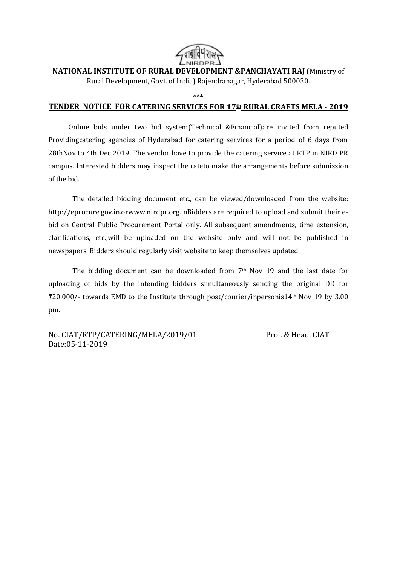

**NATIONAL INSTITUTE OF RURAL DEVELOPMENT &PANCHAYATI RAJ** (Ministry of

Rural Development, Govt. of India) Rajendranagar, Hyderabad 500030.

\*\*\*

#### **TENDER NOTICE FOR CATERING SERVICES FOR 17th RURAL CRAFTS MELA - 2019**

Online bids under two bid system(Technical &Financial)are invited from reputed Providingcatering agencies of Hyderabad for catering services for a period of 6 days from 28thNov to 4th Dec 2019. The vendor have to provide the catering service at RTP in NIRD PR campus. Interested bidders may inspect the rateto make the arrangements before submission of the bid.

The detailed bidding document etc., can be viewed/downloaded from the website: [http://eprocure.gov.in.o](http://eprocure.gov.in./)[rwww.nirdpr.org.inB](http://www.nirdpr.org.in/)idders are required to upload and submit their ebid on Central Public Procurement Portal only. All subsequent amendments, time extension, clarifications, etc.,will be uploaded on the website only and will not be published in newspapers. Bidders should regularly visit website to keep themselves updated.

The bidding document can be downloaded from 7th Nov 19 and the last date for uploading of bids by the intending bidders simultaneously sending the original DD for ₹20,000/- towards EMD to the Institute through post/courier/inpersonis14th Nov 19 by 3.00 pm.

No. CIAT/RTP/CATERING/MELA/2019/01 Prof. & Head, CIAT Date:05-11-2019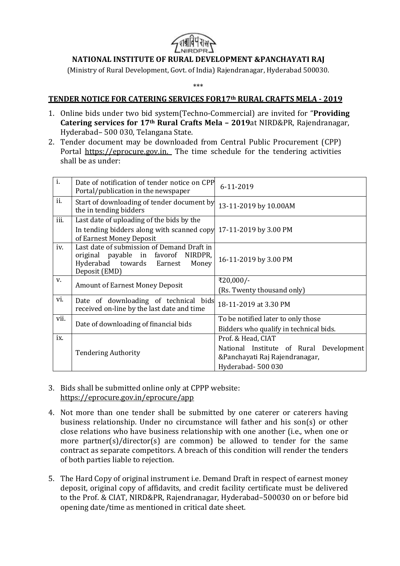

# **NATIONAL INSTITUTE OF RURAL DEVELOPMENT &PANCHAYATI RAJ**

(Ministry of Rural Development, Govt. of India) Rajendranagar, Hyderabad 500030.

\*\*\*

#### **TENDER NOTICE FOR CATERING SERVICES FOR17th RURAL CRAFTS MELA - 2019**

- 1. Online bids under two bid system(Techno-Commercial) are invited for "**Providing Catering services for 17th Rural Crafts Mela – 2019**at NIRD&PR, Rajendranagar, Hyderabad– 500 030, Telangana State.
- 2. Tender document may be downloaded from Central Public Procurement (CPP) Portal https://eprocure.gov.in. The time schedule for the tendering activities shall be as under:

| i.   | Date of notification of tender notice on CPP<br>Portal/publication in the newspaper                                                       | 6-11-2019                                                                                                           |  |
|------|-------------------------------------------------------------------------------------------------------------------------------------------|---------------------------------------------------------------------------------------------------------------------|--|
| ii.  | Start of downloading of tender document by<br>the in tending bidders                                                                      | 13-11-2019 by 10.00AM                                                                                               |  |
| iii. | Last date of uploading of the bids by the<br>In tending bidders along with scanned copy 17-11-2019 by 3.00 PM<br>of Earnest Money Deposit |                                                                                                                     |  |
| iv.  | Last date of submission of Demand Draft in<br>original payable in favorof NIRDPR,<br>Hyderabad towards Earnest<br>Money<br>Deposit (EMD)  | 16-11-2019 by 3.00 PM                                                                                               |  |
| V.   | <b>Amount of Earnest Money Deposit</b>                                                                                                    | ₹20,000/-<br>(Rs. Twenty thousand only)                                                                             |  |
| vi.  | Date of downloading of technical bids<br>received on-line by the last date and time                                                       | 18-11-2019 at 3.30 PM                                                                                               |  |
| vii. | Date of downloading of financial bids                                                                                                     | To be notified later to only those<br>Bidders who qualify in technical bids.                                        |  |
| ix.  | <b>Tendering Authority</b>                                                                                                                | Prof. & Head, CIAT<br>National Institute of Rural Development<br>&Panchayati Raj Rajendranagar,<br>Hyderabad-500030 |  |

- 3. Bids shall be submitted online only at CPPP website: <https://eprocure.gov.in/eprocure/app>
- 4. Not more than one tender shall be submitted by one caterer or caterers having business relationship. Under no circumstance will father and his son(s) or other close relations who have business relationship with one another (i.e., when one or more partner(s)/director(s) are common) be allowed to tender for the same contract as separate competitors. A breach of this condition will render the tenders of both parties liable to rejection.
- 5. The Hard Copy of original instrument i.e. Demand Draft in respect of earnest money deposit, original copy of affidavits, and credit facility certificate must be delivered to the Prof. & CIAT, NIRD&PR, Rajendranagar, Hyderabad–500030 on or before bid opening date/time as mentioned in critical date sheet.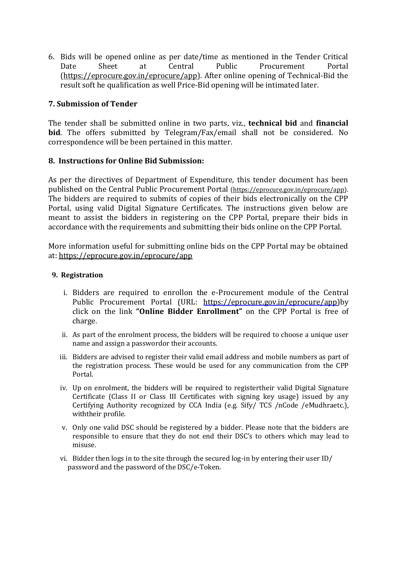6. Bids will be opened online as per date/time as mentioned in the Tender Critical Date Sheet at Central Public Procurement Portal [\(https://eprocure.gov.in/eprocure/app\)](https://eprocure.gov.in/eprocure/app). After online opening of Technical-Bid the result soft he qualification as well Price-Bid opening will be intimated later.

# **7. Submission of Tender**

The tender shall be submitted online in two parts, viz., **technical bid** and **financial bid**. The offers submitted by Telegram/Fax/email shall not be considered. No correspondence will be been pertained in this matter.

### **8. Instructions for Online Bid Submission:**

As per the directives of Department of Expenditure, this tender document has been published on the Central Public Procurement Portal [\(https://eprocure.gov.in/eprocure/app\)](https://eprocure.gov.in/eprocure/app). The bidders are required to submits of copies of their bids electronically on the CPP Portal, using valid Digital Signature Certificates. The instructions given below are meant to assist the bidders in registering on the CPP Portal, prepare their bids in accordance with the requirements and submitting their bids online on the CPP Portal.

More information useful for submitting online bids on the CPP Portal may be obtained at[: https://eprocure.gov.in/eprocure/app](https://eprocure.gov.in/eprocure/app)

#### **9. Registration**

- i. Bidders are required to enrollon the e-Procurement module of the Central Public Procurement Portal (URL: [https://eprocure.gov.in/eprocure/app\)b](https://eprocure.gov.in/eprocure/app)y click on the link **"Online Bidder Enrollment"** on the CPP Portal is free of charge.
- ii. As part of the enrolment process, the bidders will be required to choose a unique user name and assign a passwordor their accounts.
- iii. Bidders are advised to register their valid email address and mobile numbers as part of the registration process. These would be used for any communication from the CPP Portal.
- iv. Up on enrolment, the bidders will be required to registertheir valid Digital Signature Certificate (Class II or Class III Certificates with signing key usage) issued by any Certifying Authority recognized by CCA India (e.g. Sify/ TCS /nCode /eMudhraetc.), withtheir profile.
- v. Only one valid DSC should be registered by a bidder. Please note that the bidders are responsible to ensure that they do not end their DSC's to others which may lead to misuse.
- vi. Bidder then logs in to the site through the secured log-in by entering their user ID/ password and the password of the DSC/e-Token.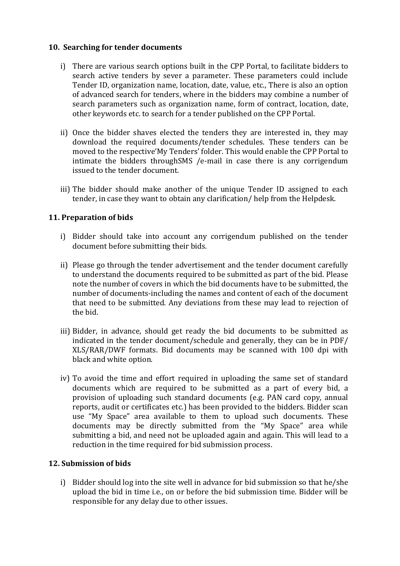#### **10. Searching for tender documents**

- i) There are various search options built in the CPP Portal, to facilitate bidders to search active tenders by sever a parameter. These parameters could include Tender ID, organization name, location, date, value, etc., There is also an option of advanced search for tenders, where in the bidders may combine a number of search parameters such as organization name, form of contract, location, date, other keywords etc. to search for a tender published on the CPP Portal.
- ii) Once the bidder shaves elected the tenders they are interested in, they may download the required documents/tender schedules. These tenders can be moved to the respective'My Tenders' folder. This would enable the CPP Portal to intimate the bidders throughSMS /e-mail in case there is any corrigendum issued to the tender document.
- iii) The bidder should make another of the unique Tender ID assigned to each tender, in case they want to obtain any clarification/ help from the Helpdesk.

### **11. Preparation of bids**

- i) Bidder should take into account any corrigendum published on the tender document before submitting their bids.
- ii) Please go through the tender advertisement and the tender document carefully to understand the documents required to be submitted as part of the bid. Please note the number of covers in which the bid documents have to be submitted, the number of documents-including the names and content of each of the document that need to be submitted. Any deviations from these may lead to rejection of the bid.
- iii) Bidder, in advance, should get ready the bid documents to be submitted as indicated in the tender document/schedule and generally, they can be in PDF/ XLS/RAR/DWF formats. Bid documents may be scanned with 100 dpi with black and white option.
- iv) To avoid the time and effort required in uploading the same set of standard documents which are required to be submitted as a part of every bid, a provision of uploading such standard documents (e.g. PAN card copy, annual reports, audit or certificates etc.) has been provided to the bidders. Bidder scan use "My Space" area available to them to upload such documents. These documents may be directly submitted from the "My Space" area while submitting a bid, and need not be uploaded again and again. This will lead to a reduction in the time required for bid submission process.

### **12. Submission of bids**

i) Bidder should log into the site well in advance for bid submission so that he/she upload the bid in time i.e., on or before the bid submission time. Bidder will be responsible for any delay due to other issues.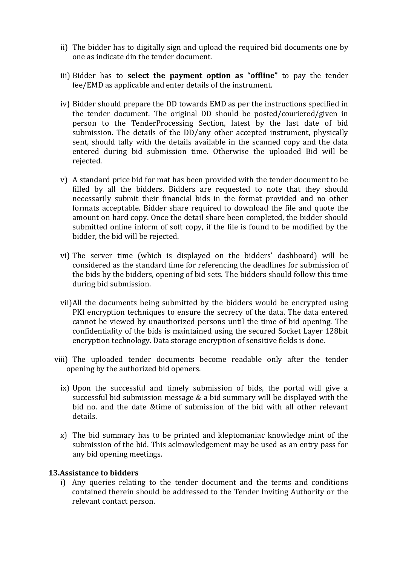- ii) The bidder has to digitally sign and upload the required bid documents one by one as indicate din the tender document.
- iii) Bidder has to **select the payment option as "offline"** to pay the tender fee/EMD as applicable and enter details of the instrument.
- iv) Bidder should prepare the DD towards EMD as per the instructions specified in the tender document. The original DD should be posted/couriered/given in person to the TenderProcessing Section, latest by the last date of bid submission. The details of the DD/any other accepted instrument, physically sent, should tally with the details available in the scanned copy and the data entered during bid submission time. Otherwise the uploaded Bid will be rejected.
- v) A standard price bid for mat has been provided with the tender document to be filled by all the bidders. Bidders are requested to note that they should necessarily submit their financial bids in the format provided and no other formats acceptable. Bidder share required to download the file and quote the amount on hard copy. Once the detail share been completed, the bidder should submitted online inform of soft copy, if the file is found to be modified by the bidder, the bid will be rejected.
- vi) The server time (which is displayed on the bidders' dashboard) will be considered as the standard time for referencing the deadlines for submission of the bids by the bidders, opening of bid sets. The bidders should follow this time during bid submission.
- vii)All the documents being submitted by the bidders would be encrypted using PKI encryption techniques to ensure the secrecy of the data. The data entered cannot be viewed by unauthorized persons until the time of bid opening. The confidentiality of the bids is maintained using the secured Socket Layer 128bit encryption technology. Data storage encryption of sensitive fields is done.
- viii) The uploaded tender documents become readable only after the tender opening by the authorized bid openers.
	- ix) Upon the successful and timely submission of bids, the portal will give a successful bid submission message & a bid summary will be displayed with the bid no. and the date &time of submission of the bid with all other relevant details.
	- x) The bid summary has to be printed and kleptomaniac knowledge mint of the submission of the bid. This acknowledgement may be used as an entry pass for any bid opening meetings.

#### **13.Assistance to bidders**

i) Any queries relating to the tender document and the terms and conditions contained therein should be addressed to the Tender Inviting Authority or the relevant contact person.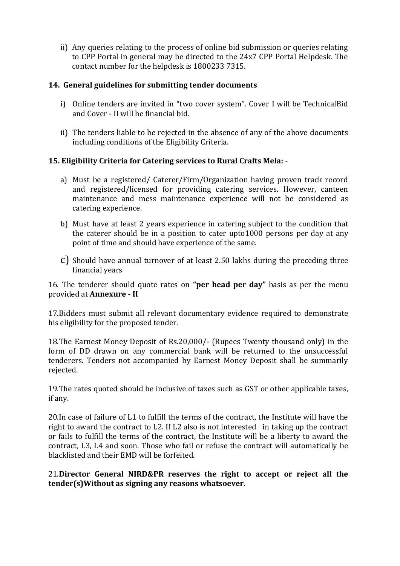ii) Any queries relating to the process of online bid submission or queries relating to CPP Portal in general may be directed to the 24x7 CPP Portal Helpdesk. The contact number for the helpdesk is 1800233 7315.

# **14. General guidelines for submitting tender documents**

- i) Online tenders are invited in "two cover system". Cover I will be TechnicalBid and Cover - II will be financial bid.
- ii) The tenders liable to be rejected in the absence of any of the above documents including conditions of the Eligibility Criteria.

# **15. Eligibility Criteria for Catering services to Rural Crafts Mela: -**

- a) Must be a registered/ Caterer/Firm/Organization having proven track record and registered/licensed for providing catering services. However, canteen maintenance and mess maintenance experience will not be considered as catering experience.
- b) Must have at least 2 years experience in catering subject to the condition that the caterer should be in a position to cater upto1000 persons per day at any point of time and should have experience of the same.
- c) Should have annual turnover of at least 2.50 lakhs during the preceding three financial years

16. The tenderer should quote rates on **"per head per day"** basis as per the menu provided at **Annexure - II**

17.Bidders must submit all relevant documentary evidence required to demonstrate his eligibility for the proposed tender.

18.The Earnest Money Deposit of Rs.20,000/- (Rupees Twenty thousand only) in the form of DD drawn on any commercial bank will be returned to the unsuccessful tenderers. Tenders not accompanied by Earnest Money Deposit shall be summarily rejected.

19.The rates quoted should be inclusive of taxes such as GST or other applicable taxes, if any.

20.In case of failure of L1 to fulfill the terms of the contract, the Institute will have the right to award the contract to L2. If L2 also is not interested in taking up the contract or fails to fulfill the terms of the contract, the Institute will be a liberty to award the contract, L3, L4 and soon. Those who fail or refuse the contract will automatically be blacklisted and their EMD will be forfeited.

21.**Director General NIRD&PR reserves the right to accept or reject all the tender(s)Without as signing any reasons whatsoever.**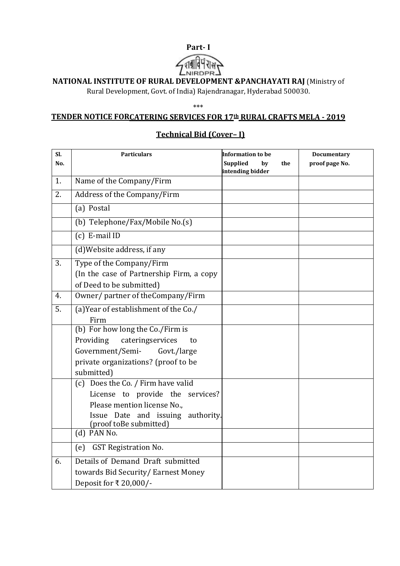# **Part- I**



# **NATIONAL INSTITUTE OF RURAL DEVELOPMENT &PANCHAYATI RAJ** (Ministry of

Rural Development, Govt. of India) Rajendranagar, Hyderabad 500030.

#### \*\*\*

#### **TENDER NOTICE FORCATERING SERVICES FOR 17th RURAL CRAFTS MELA - 2019**

# **Sl. No. Particulars Information to be Supplied by the intending bidder Documentary proof page No.** 1. Name of the Company/Firm 2. Address of the Company/Firm (a) Postal (b) Telephone/Fax/Mobile No.(s) (c) E-mail ID (d)Website address, if any 3. Type of the Company/Firm (In the case of Partnership Firm, a copy of Deed to be submitted) 4. Owner/ partner of theCompany/Firm 5. (a)Year of establishment of the Co./ Firm (b) For how long the Co./Firm is Providing cateringservices to Government/Semi- Govt./large private organizations? (proof to be submitted) (c) Does the Co. / Firm have valid License to provide the services? Please mention license No., Issue Date and issuing authority. (proof toBe submitted) (d) PAN No. (e) GST Registration No. 6. Details of Demand Draft submitted towards Bid Security/ Earnest Money Deposit for ₹ 20,000/-

# **Technical Bid (Cover– I)**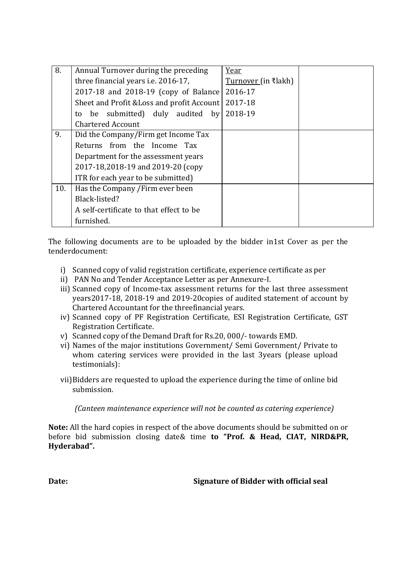| 8.  | Annual Turnover during the preceding       | Year                |  |
|-----|--------------------------------------------|---------------------|--|
|     | three financial years <i>i.e.</i> 2016-17, | Turnover (in ₹lakh) |  |
|     | 2017-18 and 2018-19 (copy of Balance       | 2016-17             |  |
|     | Sheet and Profit & Loss and profit Account | 2017-18             |  |
|     | be submitted) duly audited by<br>to        | 2018-19             |  |
|     | <b>Chartered Account</b>                   |                     |  |
| 9.  | Did the Company/Firm get Income Tax        |                     |  |
|     | Returns from the Income Tax                |                     |  |
|     | Department for the assessment years        |                     |  |
|     | 2017-18,2018-19 and 2019-20 (copy          |                     |  |
|     | ITR for each year to be submitted)         |                     |  |
| 10. | Has the Company / Firm ever been           |                     |  |
|     | Black-listed?                              |                     |  |
|     | A self-certificate to that effect to be    |                     |  |
|     | furnished.                                 |                     |  |

The following documents are to be uploaded by the bidder in1st Cover as per the tenderdocument:

- i) Scanned copy of valid registration certificate, experience certificate as per
- ii) PAN No and Tender Acceptance Letter as per Annexure-I.
- iii) Scanned copy of Income-tax assessment returns for the last three assessment years2017-18, 2018-19 and 2019-20copies of audited statement of account by Chartered Accountant for the threefinancial years.
- iv) Scanned copy of PF Registration Certificate, ESI Registration Certificate, GST Registration Certificate.
- v) Scanned copy of the Demand Draft for Rs.20, 000/- towards EMD.
- vi) Names of the major institutions Government/ Semi Government/ Private to whom catering services were provided in the last 3years (please upload testimonials):
- vii)Bidders are requested to upload the experience during the time of online bid submission.

*(Canteen maintenance experience will not be counted as catering experience)*

**Note:** All the hard copies in respect of the above documents should be submitted on or before bid submission closing date& time **to "Prof. & Head, CIAT, NIRD&PR, Hyderabad".**

**Date: Signature of Bidder with official seal**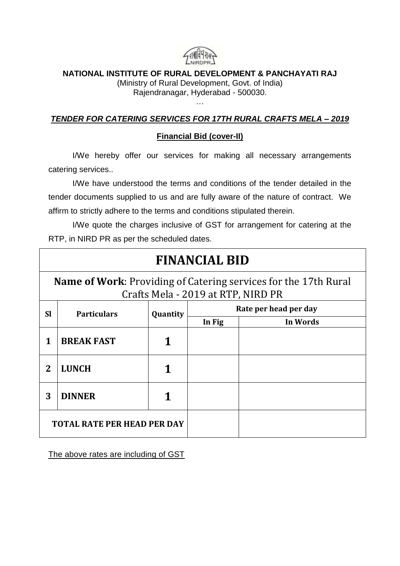

# **NATIONAL INSTITUTE OF RURAL DEVELOPMENT & PANCHAYATI RAJ**

(Ministry of Rural Development, Govt. of India) Rajendranagar, Hyderabad - 500030.

# *TENDER FOR CATERING SERVICES FOR 17TH RURAL CRAFTS MELA – 2019*

…

# **Financial Bid (cover-II)**

I/We hereby offer our services for making all necessary arrangements catering services..

I/We have understood the terms and conditions of the tender detailed in the tender documents supplied to us and are fully aware of the nature of contract. We affirm to strictly adhere to the terms and conditions stipulated therein.

I/We quote the charges inclusive of GST for arrangement for catering at the RTP, in NIRD PR as per the scheduled dates.

| <b>FINANCIAL BID</b>                                                                                         |                                    |          |                       |          |  |  |  |
|--------------------------------------------------------------------------------------------------------------|------------------------------------|----------|-----------------------|----------|--|--|--|
| <b>Name of Work:</b> Providing of Catering services for the 17th Rural<br>Crafts Mela - 2019 at RTP, NIRD PR |                                    |          |                       |          |  |  |  |
| <b>SI</b>                                                                                                    | <b>Particulars</b>                 | Quantity | Rate per head per day |          |  |  |  |
|                                                                                                              |                                    |          | In Fig                | In Words |  |  |  |
| 1                                                                                                            | <b>BREAK FAST</b>                  |          |                       |          |  |  |  |
| $\overline{2}$                                                                                               | <b>LUNCH</b>                       |          |                       |          |  |  |  |
| 3                                                                                                            | <b>DINNER</b>                      |          |                       |          |  |  |  |
|                                                                                                              | <b>TOTAL RATE PER HEAD PER DAY</b> |          |                       |          |  |  |  |

The above rates are including of GST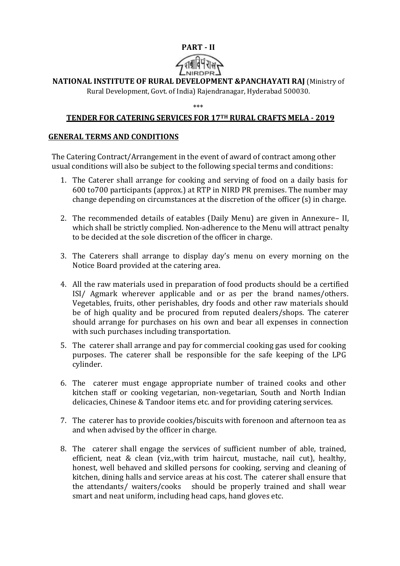# **PART - II**



# **NATIONAL INSTITUTE OF RURAL DEVELOPMENT &PANCHAYATI RAJ** (Ministry of

Rural Development, Govt. of India) Rajendranagar, Hyderabad 500030.

\*\*\*

# **TENDER FOR CATERING SERVICES FOR 17TH RURAL CRAFTS MELA - 2019**

#### **GENERAL TERMS AND CONDITIONS**

The Catering Contract/Arrangement in the event of award of contract among other usual conditions will also be subject to the following special terms and conditions:

- 1. The Caterer shall arrange for cooking and serving of food on a daily basis for 600 to700 participants (approx.) at RTP in NIRD PR premises. The number may change depending on circumstances at the discretion of the officer (s) in charge.
- 2. The recommended details of eatables (Daily Menu) are given in Annexure– II, which shall be strictly complied. Non-adherence to the Menu will attract penalty to be decided at the sole discretion of the officer in charge.
- 3. The Caterers shall arrange to display day's menu on every morning on the Notice Board provided at the catering area.
- 4. All the raw materials used in preparation of food products should be a certified ISI/ Agmark wherever applicable and or as per the brand names/others. Vegetables, fruits, other perishables, dry foods and other raw materials should be of high quality and be procured from reputed dealers/shops. The caterer should arrange for purchases on his own and bear all expenses in connection with such purchases including transportation.
- 5. The caterer shall arrange and pay for commercial cooking gas used for cooking purposes. The caterer shall be responsible for the safe keeping of the LPG cylinder.
- 6. The caterer must engage appropriate number of trained cooks and other kitchen staff or cooking vegetarian, non-vegetarian, South and North Indian delicacies, Chinese & Tandoor items etc. and for providing catering services.
- 7. The caterer has to provide cookies/biscuits with forenoon and afternoon tea as and when advised by the officer in charge.
- 8. The caterer shall engage the services of sufficient number of able, trained, efficient, neat & clean (viz.,with trim haircut, mustache, nail cut), healthy, honest, well behaved and skilled persons for cooking, serving and cleaning of kitchen, dining halls and service areas at his cost. The caterer shall ensure that the attendants/ waiters/cooks should be properly trained and shall wear smart and neat uniform, including head caps, hand gloves etc.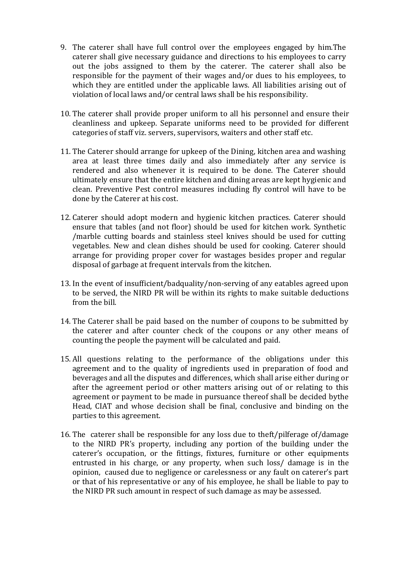- 9. The caterer shall have full control over the employees engaged by him.The caterer shall give necessary guidance and directions to his employees to carry out the jobs assigned to them by the caterer. The caterer shall also be responsible for the payment of their wages and/or dues to his employees, to which they are entitled under the applicable laws. All liabilities arising out of violation of local laws and/or central laws shall be his responsibility.
- 10. The caterer shall provide proper uniform to all his personnel and ensure their cleanliness and upkeep. Separate uniforms need to be provided for different categories of staff viz. servers, supervisors, waiters and other staff etc.
- 11. The Caterer should arrange for upkeep of the Dining, kitchen area and washing area at least three times daily and also immediately after any service is rendered and also whenever it is required to be done. The Caterer should ultimately ensure that the entire kitchen and dining areas are kept hygienic and clean. Preventive Pest control measures including fly control will have to be done by the Caterer at his cost.
- 12. Caterer should adopt modern and hygienic kitchen practices. Caterer should ensure that tables (and not floor) should be used for kitchen work. Synthetic /marble cutting boards and stainless steel knives should be used for cutting vegetables. New and clean dishes should be used for cooking. Caterer should arrange for providing proper cover for wastages besides proper and regular disposal of garbage at frequent intervals from the kitchen.
- 13. In the event of insufficient/badquality/non-serving of any eatables agreed upon to be served, the NIRD PR will be within its rights to make suitable deductions from the bill.
- 14. The Caterer shall be paid based on the number of coupons to be submitted by the caterer and after counter check of the coupons or any other means of counting the people the payment will be calculated and paid.
- 15. All questions relating to the performance of the obligations under this agreement and to the quality of ingredients used in preparation of food and beverages and all the disputes and differences, which shall arise either during or after the agreement period or other matters arising out of or relating to this agreement or payment to be made in pursuance thereof shall be decided bythe Head, CIAT and whose decision shall be final, conclusive and binding on the parties to this agreement.
- 16. The caterer shall be responsible for any loss due to theft/pilferage of/damage to the NIRD PR's property, including any portion of the building under the caterer's occupation, or the fittings, fixtures, furniture or other equipments entrusted in his charge, or any property, when such loss/ damage is in the opinion, caused due to negligence or carelessness or any fault on caterer's part or that of his representative or any of his employee, he shall be liable to pay to the NIRD PR such amount in respect of such damage as may be assessed.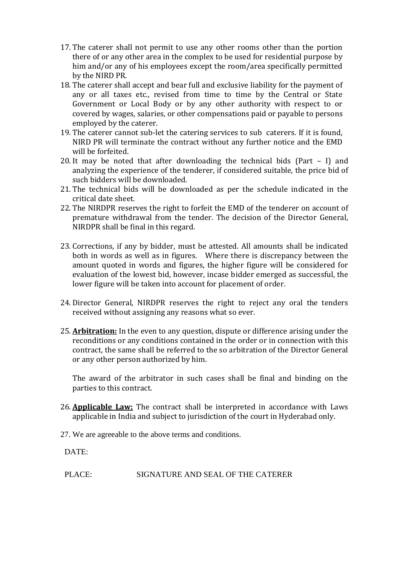- 17. The caterer shall not permit to use any other rooms other than the portion there of or any other area in the complex to be used for residential purpose by him and/or any of his employees except the room/area specifically permitted by the NIRD PR.
- 18. The caterer shall accept and bear full and exclusive liability for the payment of any or all taxes etc., revised from time to time by the Central or State Government or Local Body or by any other authority with respect to or covered by wages, salaries, or other compensations paid or payable to persons employed by the caterer.
- 19. The caterer cannot sub-let the catering services to sub caterers. If it is found, NIRD PR will terminate the contract without any further notice and the EMD will be forfeited.
- 20. It may be noted that after downloading the technical bids (Part I) and analyzing the experience of the tenderer, if considered suitable, the price bid of such bidders will be downloaded.
- 21. The technical bids will be downloaded as per the schedule indicated in the critical date sheet.
- 22. The NIRDPR reserves the right to forfeit the EMD of the tenderer on account of premature withdrawal from the tender. The decision of the Director General, NIRDPR shall be final in this regard.
- 23. Corrections, if any by bidder, must be attested. All amounts shall be indicated both in words as well as in figures. Where there is discrepancy between the amount quoted in words and figures, the higher figure will be considered for evaluation of the lowest bid, however, incase bidder emerged as successful, the lower figure will be taken into account for placement of order.
- 24. Director General, NIRDPR reserves the right to reject any oral the tenders received without assigning any reasons what so ever.
- 25. **Arbitration:** In the even to any question, dispute or difference arising under the reconditions or any conditions contained in the order or in connection with this contract, the same shall be referred to the so arbitration of the Director General or any other person authorized by him.

The award of the arbitrator in such cases shall be final and binding on the parties to this contract.

- 26. **Applicable Law:** The contract shall be interpreted in accordance with Laws applicable in India and subject to jurisdiction of the court in Hyderabad only.
- 27. We are agreeable to the above terms and conditions.

DATE:

PLACE: SIGNATURE AND SEAL OF THE CATERER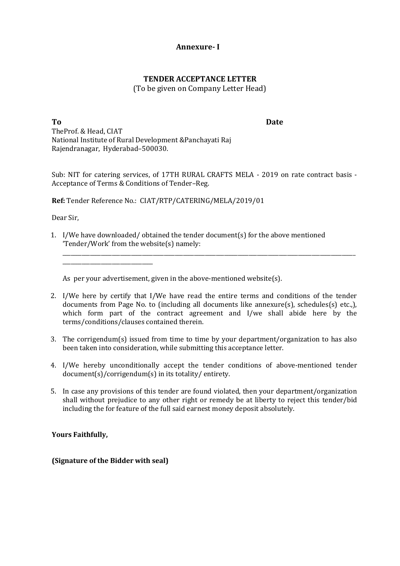#### **Annexure- I**

### **TENDER ACCEPTANCE LETTER**

(To be given on Company Letter Head)

**To Date** TheProf. & Head, CIAT National Institute of Rural Development &Panchayati Raj Rajendranagar, Hyderabad–500030.

Sub: NIT for catering services, of 17TH RURAL CRAFTS MELA - 2019 on rate contract basis - Acceptance of Terms & Conditions of Tender–Reg.

**Ref:** Tender Reference No.: CIAT/RTP/CATERING/MELA/2019/01

Dear Sir,

1. I/We have downloaded/ obtained the tender document(s) for the above mentioned 'Tender/Work' from the website(s) namely:

As per your advertisement, given in the above-mentioned website(s).

2. I/We here by certify that I/We have read the entire terms and conditions of the tender documents from Page No. to (including all documents like annexure(s), schedules(s) etc.,), which form part of the contract agreement and I/we shall abide here by the terms/conditions/clauses contained therein.

\_\_\_\_\_\_\_\_\_\_\_\_\_\_\_\_\_\_\_\_\_\_\_\_\_\_\_\_\_\_\_\_\_\_\_\_\_\_\_\_\_\_\_\_\_\_\_\_\_\_\_\_\_\_\_\_\_\_\_\_\_\_\_\_\_\_\_\_\_\_\_\_\_\_\_\_\_\_\_\_\_\_\_\_\_\_\_\_\_\_\_\_\_\_\_\_\_\_\_\_\_\_\_\_\_\_\_

- 3. The corrigendum(s) issued from time to time by your department/organization to has also been taken into consideration, while submitting this acceptance letter.
- 4. I/We hereby unconditionally accept the tender conditions of above-mentioned tender document(s)/corrigendum(s) in its totality/ entirety.
- 5. In case any provisions of this tender are found violated, then your department/organization shall without prejudice to any other right or remedy be at liberty to reject this tender/bid including the for feature of the full said earnest money deposit absolutely.

**Yours Faithfully,**

**(Signature of the Bidder with seal)**

\_\_\_\_\_\_\_\_\_\_\_\_\_\_\_\_\_\_\_\_\_\_\_\_\_\_\_\_\_\_\_\_\_